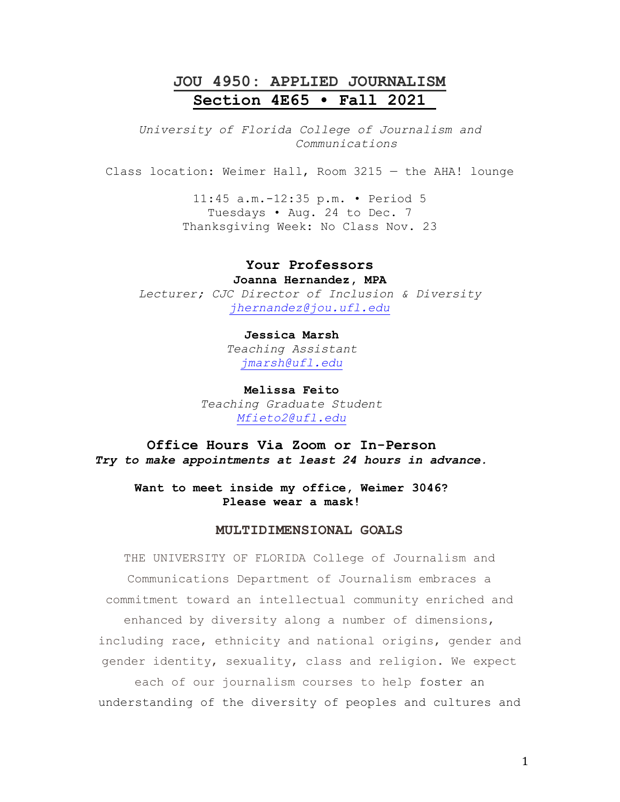## **JOU 4950: APPLIED JOURNALISM Section 4E65 • Fall 2021**

*University of Florida College of Journalism and Communications*

Class location: Weimer Hall, Room 3215 — the AHA! lounge

11:45 a.m.-12:35 p.m. • Period 5 Tuesdays • Aug. 24 to Dec. 7 Thanksgiving Week: No Class Nov. 23

## **Your Professors**

**Joanna Hernandez, MPA** *Lecturer; CJC Director of Inclusion & Diversity [jhernandez@jou.ufl.edu](mailto:jhernandez@jou.ufl.edu)*

# **Jessica Marsh**

*Teaching Assistant [jmarsh@ufl.edu](mailto:jmarsh@ufl.edu)*

**Melissa Feito** *Teaching Graduate Student [Mfieto2@ufl.edu](mailto:Mfieto2@ufl.edu)*

**Office Hours Via Zoom or In-Person** *Try to make appointments at least 24 hours in advance.* 

**Want to meet inside my office, Weimer 3046? Please wear a mask!**

## **MULTIDIMENSIONAL GOALS**

THE UNIVERSITY OF FLORIDA College of Journalism and Communications Department of Journalism embraces a commitment toward an intellectual community enriched and enhanced by diversity along a number of dimensions, including race, ethnicity and national origins, gender and gender identity, sexuality, class and religion. We expect each of our journalism courses to help foster an understanding of the diversity of peoples and cultures and

1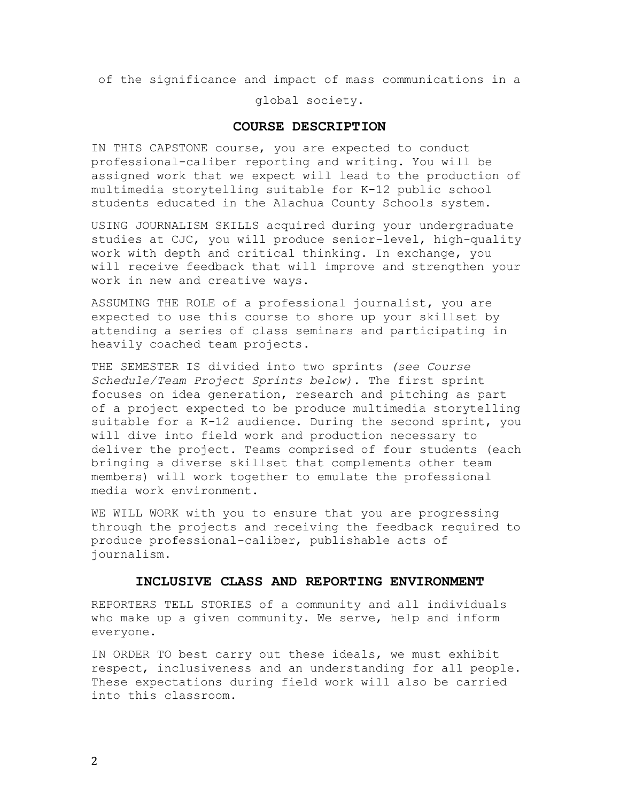of the significance and impact of mass communications in a

global society.

#### **COURSE DESCRIPTION**

IN THIS CAPSTONE course, you are expected to conduct professional-caliber reporting and writing. You will be assigned work that we expect will lead to the production of multimedia storytelling suitable for K-12 public school students educated in the Alachua County Schools system.

USING JOURNALISM SKILLS acquired during your undergraduate studies at CJC, you will produce senior-level, high-quality work with depth and critical thinking. In exchange, you will receive feedback that will improve and strengthen your work in new and creative ways.

ASSUMING THE ROLE of a professional journalist, you are expected to use this course to shore up your skillset by attending a series of class seminars and participating in heavily coached team projects.

THE SEMESTER IS divided into two sprints *(see Course Schedule/Team Project Sprints below).* The first sprint focuses on idea generation, research and pitching as part of a project expected to be produce multimedia storytelling suitable for a K-12 audience. During the second sprint, you will dive into field work and production necessary to deliver the project. Teams comprised of four students (each bringing a diverse skillset that complements other team members) will work together to emulate the professional media work environment.

WE WILL WORK with you to ensure that you are progressing through the projects and receiving the feedback required to produce professional-caliber, publishable acts of journalism.

## **INCLUSIVE CLASS AND REPORTING ENVIRONMENT**

REPORTERS TELL STORIES of a community and all individuals who make up a given community. We serve, help and inform everyone.

IN ORDER TO best carry out these ideals, we must exhibit respect, inclusiveness and an understanding for all people. These expectations during field work will also be carried into this classroom.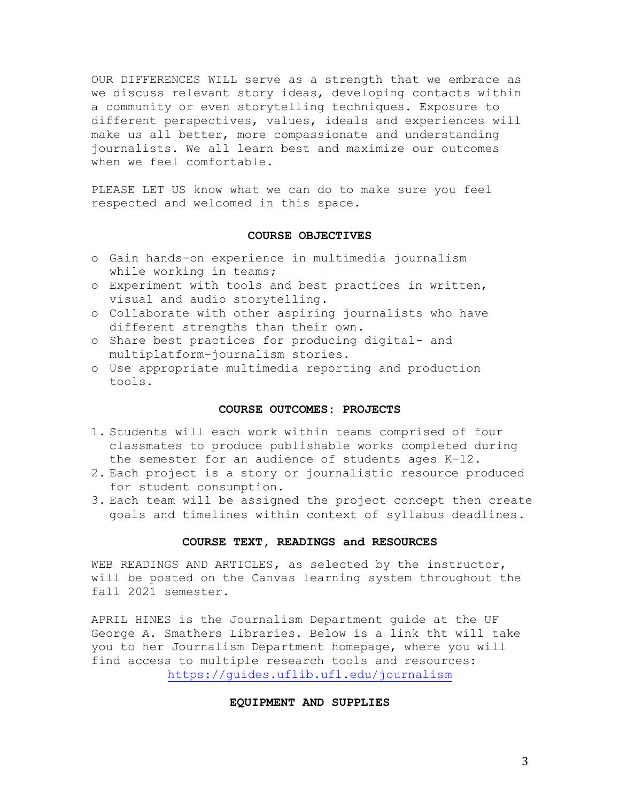OUR DIFFERENCES WILL serve as a strength that we embrace as we discuss relevant story ideas, developing contacts within a community or even storytelling techniques. Exposure to different perspectives, values, ideals and experiences will make us all better, more compassionate and understanding journalists. We all learn best and maximize our outcomes when we feel comfortable.

PLEASE LET US know what we can do to make sure you feel respected and welcomed in this space.

#### **COURSE OBJECTIVES**

- o Gain hands-on experience in multimedia journalism while working in teams;
- o Experiment with tools and best practices in written, visual and audio storytelling.
- o Collaborate with other aspiring journalists who have different strengths than their own.
- o Share best practices for producing digital- and multiplatform-journalism stories.
- o Use appropriate multimedia reporting and production tools.

#### **COURSE OUTCOMES: PROJECTS**

- 1. Students will each work within teams comprised of four classmates to produce publishable works completed during the semester for an audience of students ages K-12.
- 2. Each project is a story or journalistic resource produced for student consumption.
- 3. Each team will be assigned the project concept then create goals and timelines within context of syllabus deadlines.

### **COURSE TEXT, READINGS and RESOURCES**

WEB READINGS AND ARTICLES, as selected by the instructor, will be posted on the Canvas learning system throughout the fall 2021 semester.

APRIL HINES is the Journalism Department guide at the UF George A. Smathers Libraries. Below is a link tht will take you to her Journalism Department homepage, where you will find access to multiple research tools and resources: <https://guides.uflib.ufl.edu/journalism>

## **EQUIPMENT AND SUPPLIES**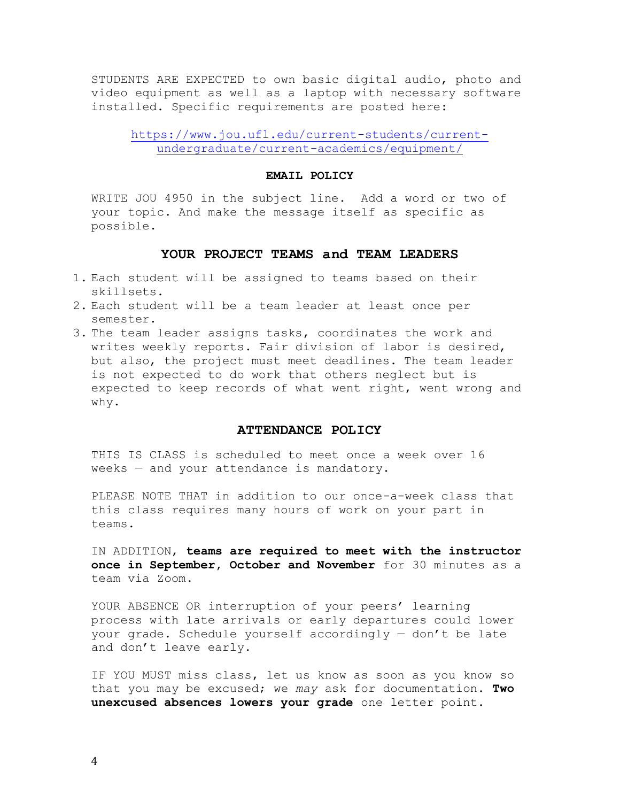STUDENTS ARE EXPECTED to own basic digital audio, photo and video equipment as well as a laptop with necessary software installed. Specific requirements are posted here:

[https://www.jou.ufl.edu/current-students/current](https://www.jou.ufl.edu/current-students/current-undergraduate/current-academics/equipment/)[undergraduate/current-academics/equipment/](https://www.jou.ufl.edu/current-students/current-undergraduate/current-academics/equipment/)

#### **EMAIL POLICY**

WRITE JOU 4950 in the subject line. Add a word or two of your topic. And make the message itself as specific as possible.

#### **YOUR PROJECT TEAMS and TEAM LEADERS**

- 1. Each student will be assigned to teams based on their skillsets.
- 2. Each student will be a team leader at least once per semester.
- 3. The team leader assigns tasks, coordinates the work and writes weekly reports. Fair division of labor is desired, but also, the project must meet deadlines. The team leader is not expected to do work that others neglect but is expected to keep records of what went right, went wrong and why.

## **ATTENDANCE POLICY**

THIS IS CLASS is scheduled to meet once a week over 16 weeks — and your attendance is mandatory.

PLEASE NOTE THAT in addition to our once-a-week class that this class requires many hours of work on your part in teams.

IN ADDITION, **teams are required to meet with the instructor once in September, October and November** for 30 minutes as a team via Zoom.

YOUR ABSENCE OR interruption of your peers' learning process with late arrivals or early departures could lower your grade. Schedule yourself accordingly — don't be late and don't leave early.

IF YOU MUST miss class, let us know as soon as you know so that you may be excused; we *may* ask for documentation. **Two unexcused absences lowers your grade** one letter point.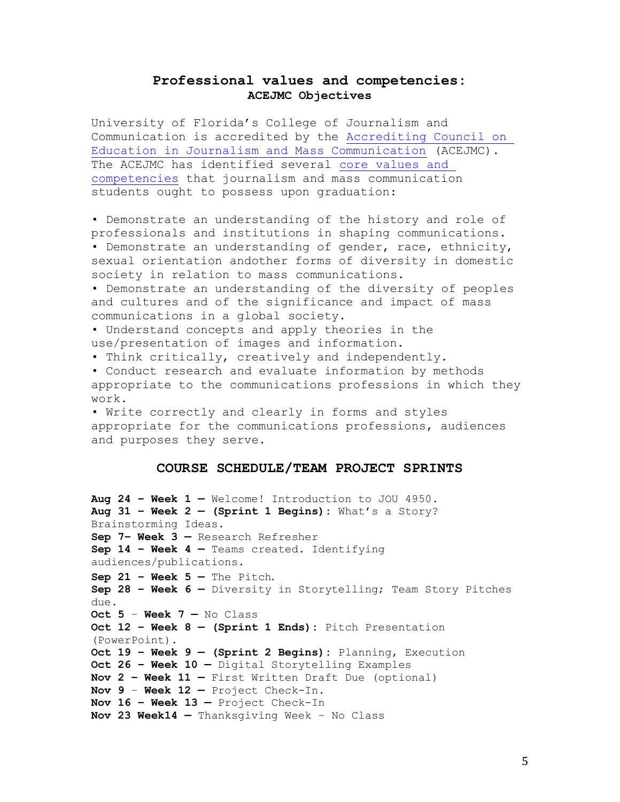## **Professional values and competencies: ACEJMC Objectives**

University of Florida's College of Journalism and Communication is accredited by the [Accrediting Council on](https://www2.ku.edu/~acejmc/)  [Education in Journalism and Mass Communication](https://www2.ku.edu/~acejmc/) (ACEJMC). The ACEJMC has identified several [core values and](https://www2.ku.edu/~acejmc/PROGRAM/PRINCIPLES.SHTML#vals&comps)  [competencies](https://www2.ku.edu/~acejmc/PROGRAM/PRINCIPLES.SHTML#vals&comps) that journalism and mass communication students ought to possess upon graduation:

• Demonstrate an understanding of the history and role of professionals and institutions in shaping communications. • Demonstrate an understanding of gender, race, ethnicity, sexual orientation andother forms of diversity in domestic society in relation to mass communications.

• Demonstrate an understanding of the diversity of peoples and cultures and of the significance and impact of mass communications in a global society.

• Understand concepts and apply theories in the use/presentation of images and information.

• Think critically, creatively and independently.

• Conduct research and evaluate information by methods appropriate to the communications professions in which they work.

• Write correctly and clearly in forms and styles appropriate for the communications professions, audiences and purposes they serve.

## **COURSE SCHEDULE/TEAM PROJECT SPRINTS**

**Aug 24 – Week 1 —** Welcome! Introduction to JOU 4950. **Aug 31 – Week 2 — (Sprint 1 Begins):** What's a Story? Brainstorming Ideas. **Sep 7– Week 3 —** Research Refresher **Sep 14 – Week 4 —** Teams created**.** Identifying audiences/publications. **Sep 21 – Week 5 —** The Pitch. **Sep 28 – Week 6 —** Diversity in Storytelling; Team Story Pitches due. **Oct 5** – **Week 7 —** No Class **Oct 12 – Week 8 — (Sprint 1 Ends):** Pitch Presentation (PowerPoint). **Oct 19 – Week 9 — (Sprint 2 Begins):** Planning, Execution **Oct 26 – Week 10 —** Digital Storytelling Examples **Nov 2 – Week 11 —** First Written Draft Due (optional) **Nov 9** – **Week 12 —** Project Check-In. **Nov 16 – Week 13 —** Project Check-In **Nov 23 Week14 —** Thanksgiving Week – No Class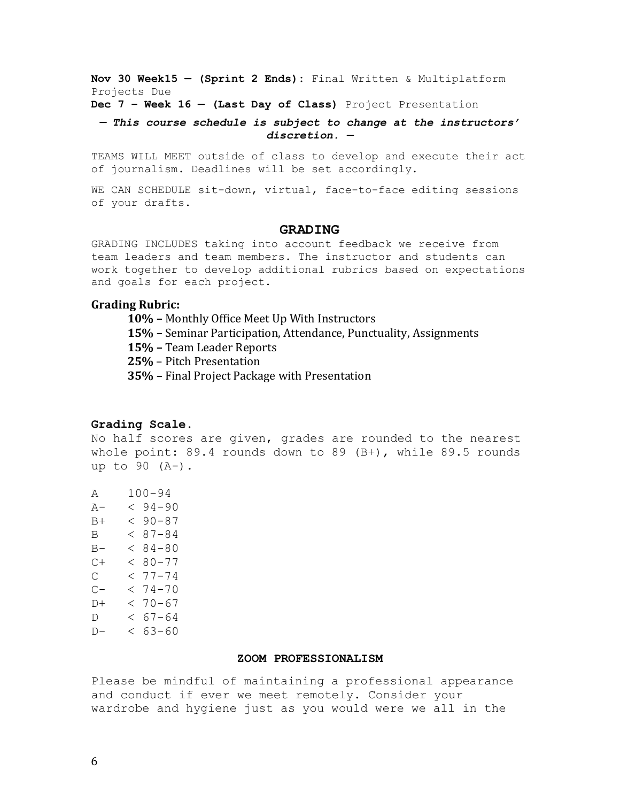**Nov 30 Week15 — (Sprint 2 Ends):** Final Written & Multiplatform Projects Due

**Dec 7 – Week 16 — (Last Day of Class)** Project Presentation

*— This course schedule is subject to change at the instructors' discretion. —*

TEAMS WILL MEET outside of class to develop and execute their act of journalism. Deadlines will be set accordingly.

WE CAN SCHEDULE sit-down, virtual, face-to-face editing sessions of your drafts.

#### **GRADING**

GRADING INCLUDES taking into account feedback we receive from team leaders and team members. The instructor and students can work together to develop additional rubrics based on expectations and goals for each project.

#### **Grading Rubric:**

**10% –** Monthly Office Meet Up With Instructors

**15% –** Seminar Participation, Attendance, Punctuality, Assignments

- **15% –** Team Leader Reports
- **25%** Pitch Presentation
- **35% –** Final Project Package with Presentation

## **Grading Scale.**

No half scores are given, grades are rounded to the nearest whole point: 89.4 rounds down to 89 (B+), while 89.5 rounds up to 90 (A-).

A 100-94 A- < 94-90  $B+ < 90-87$  $B = 87 - 84$  $B - < 84 - 80$  $C+ < 80-77$  $C \leq 77 - 74$  $C- < 74-70$  $D+ < 70-67$  $D \leq 67 - 64$  $D- < 63-60$ 

#### **ZOOM PROFESSIONALISM**

Please be mindful of maintaining a professional appearance and conduct if ever we meet remotely. Consider your wardrobe and hygiene just as you would were we all in the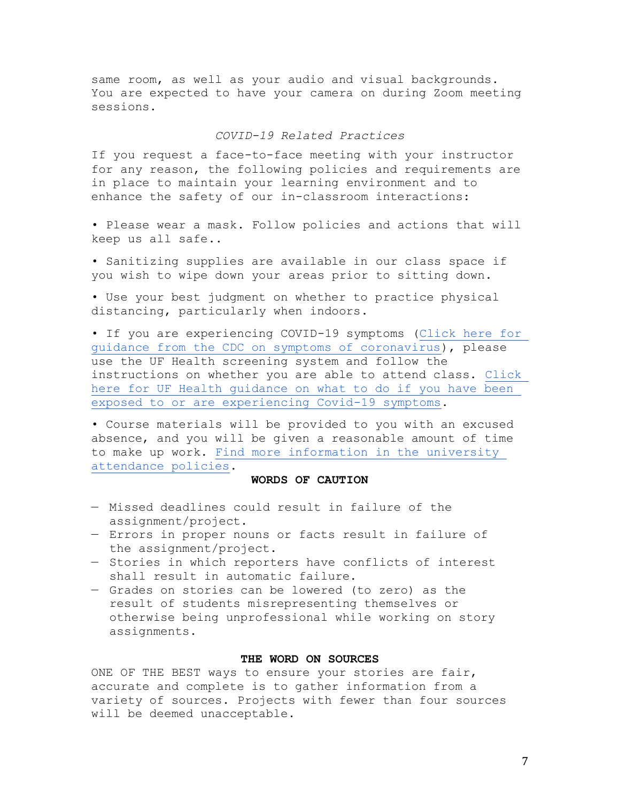same room, as well as your audio and visual backgrounds. You are expected to have your camera on during Zoom meeting sessions.

## *COVID-19 Related Practices*

If you request a face-to-face meeting with your instructor for any reason, the following policies and requirements are in place to maintain your learning environment and to enhance the safety of our in-classroom interactions:

• Please wear a mask. Follow policies and actions that will keep us all safe..

• Sanitizing supplies are available in our class space if you wish to wipe down your areas prior to sitting down.

• Use your best judgment on whether to practice physical distancing, particularly when indoors.

• If you are experiencing COVID-19 symptoms [\(Click here for](https://www.cdc.gov/coronavirus/2019-ncov/symptoms-testing/symptoms.html)  [guidance from the CDC on symptoms of coronavirus\)](https://www.cdc.gov/coronavirus/2019-ncov/symptoms-testing/symptoms.html), please use the UF Health screening system and follow the instructions on whether you are able to attend class. [Click](https://coronavirus.ufhealth.org/screen-test-protect/covid-19-exposure-and-symptoms-who-do-i-call-if/)  [here for UF Health guidance on what to do if you have been](https://coronavirus.ufhealth.org/screen-test-protect/covid-19-exposure-and-symptoms-who-do-i-call-if/)  [exposed to or are experiencing Covid-19 symptoms.](https://coronavirus.ufhealth.org/screen-test-protect/covid-19-exposure-and-symptoms-who-do-i-call-if/)

• Course materials will be provided to you with an excused absence, and you will be given a reasonable amount of time to make up work. [Find more information in the university](https://catalog.ufl.edu/UGRD/academic-regulations/attendance-policies/)  [attendance policies.](https://catalog.ufl.edu/UGRD/academic-regulations/attendance-policies/)

## **WORDS OF CAUTION**

- Missed deadlines could result in failure of the assignment/project.
- Errors in proper nouns or facts result in failure of the assignment/project.
- Stories in which reporters have conflicts of interest shall result in automatic failure.
- Grades on stories can be lowered (to zero) as the result of students misrepresenting themselves or otherwise being unprofessional while working on story assignments.

## **THE WORD ON SOURCES**

ONE OF THE BEST ways to ensure your stories are fair, accurate and complete is to gather information from a variety of sources. Projects with fewer than four sources will be deemed unacceptable.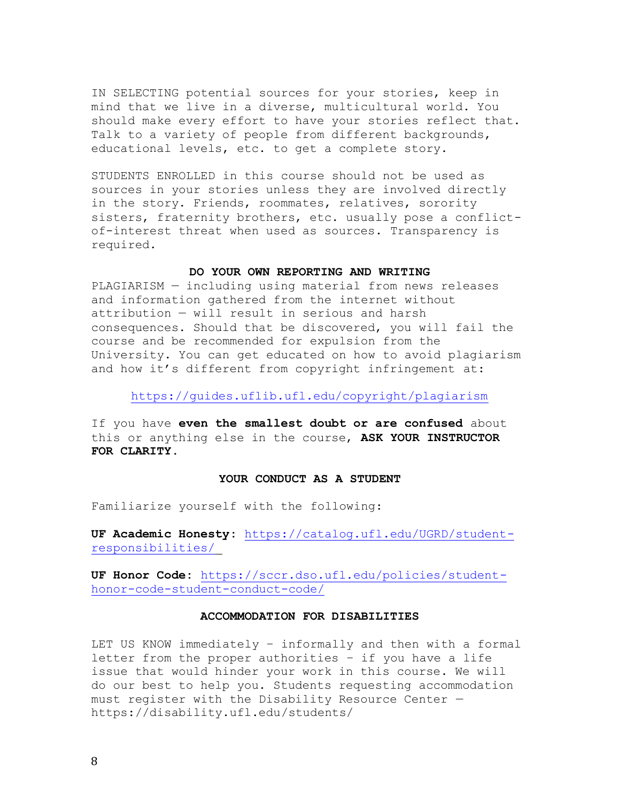IN SELECTING potential sources for your stories, keep in mind that we live in a diverse, multicultural world. You should make every effort to have your stories reflect that. Talk to a variety of people from different backgrounds, educational levels, etc. to get a complete story.

STUDENTS ENROLLED in this course should not be used as sources in your stories unless they are involved directly in the story. Friends, roommates, relatives, sorority sisters, fraternity brothers, etc. usually pose a conflictof-interest threat when used as sources. Transparency is required.

#### **DO YOUR OWN REPORTING AND WRITING**

PLAGIARISM — including using material from news releases and information gathered from the internet without attribution — will result in serious and harsh consequences. Should that be discovered, you will fail the course and be recommended for expulsion from the University. You can get educated on how to avoid plagiarism and how it's different from copyright infringement at:

<https://guides.uflib.ufl.edu/copyright/plagiarism>

If you have **even the smallest doubt or are confused** about this or anything else in the course, **ASK YOUR INSTRUCTOR FOR CLARITY**.

#### **YOUR CONDUCT AS A STUDENT**

Familiarize yourself with the following:

**UF Academic Honesty:** [https://catalog.ufl.edu/UGRD/student](https://catalog.ufl.edu/UGRD/student-responsibilities/)[responsibilities/](https://catalog.ufl.edu/UGRD/student-responsibilities/)

**UF Honor Code:** [https://sccr.dso.ufl.edu/policies/student](https://sccr.dso.ufl.edu/policies/student-honor-code-student-conduct-code/)[honor-code-student-conduct-code/](https://sccr.dso.ufl.edu/policies/student-honor-code-student-conduct-code/)

#### **ACCOMMODATION FOR DISABILITIES**

LET US KNOW immediately – informally and then with a formal letter from the proper authorities – if you have a life issue that would hinder your work in this course. We will do our best to help you. Students requesting accommodation must register with the Disability Resource Center https://disability.ufl.edu/students/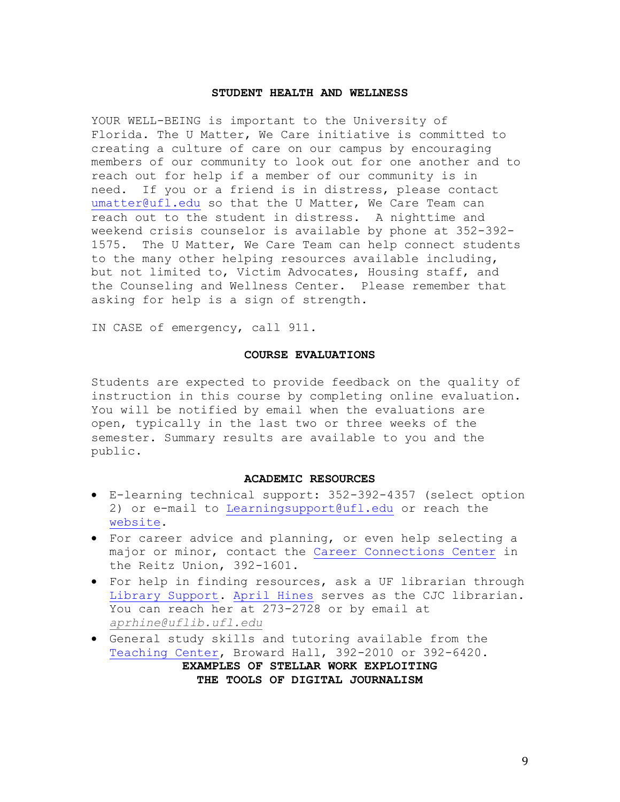#### **STUDENT HEALTH AND WELLNESS**

YOUR WELL-BEING is important to the University of Florida. The U Matter, We Care initiative is committed to creating a culture of care on our campus by encouraging members of our community to look out for one another and to reach out for help if a member of our community is in need. If you or a friend is in distress, please contact [umatter@ufl.edu](mailto:umatter@ufl.edu) so that the U Matter, We Care Team can reach out to the student in distress. A nighttime and weekend crisis counselor is available by phone at 352-392- 1575. The U Matter, We Care Team can help connect students to the many other helping resources available including, but not limited to, Victim Advocates, Housing staff, and the Counseling and Wellness Center. Please remember that asking for help is a sign of strength.

IN CASE of emergency, call 911.

#### **COURSE EVALUATIONS**

Students are expected to provide feedback on the quality of instruction in this course by completing online evaluation. You will be notified by email when the evaluations are open, typically in the last two or three weeks of the semester. Summary results are available to you and the public.

#### **ACADEMIC RESOURCES**

- E-learning technical support: 352-392-4357 (select option 2) or e-mail to [Learningsupport@ufl.edu](mailto:Learningsupport@ufl.edu) or reach the [website.](https://elearning.ufl.edu/keep-learning/)
- For career advice and planning, or even help selecting a major or minor, contact the [Career Connections](http://www.crc.ufl.edu/) Center in the Reitz Union, 392-1601.
- For help in finding resources, ask a UF librarian through [Library Support.](http://cms.uflib.ufl.edu/ask) [April Hines](https://guides.uflib.ufl.edu/prf.php?account_id=25932) serves as the CJC librarian. You can reach her at 273-2728 or by email at *[aprhine@uflib.ufl.edu](mailto:aprhine@uflib.ufl.edu)*
- General study skills and tutoring available from the [Teaching Center,](https://teachingcenter.ufl.edu/) Broward Hall, 392-2010 or 392-6420. **EXAMPLES OF STELLAR WORK EXPLOITING THE TOOLS OF DIGITAL JOURNALISM**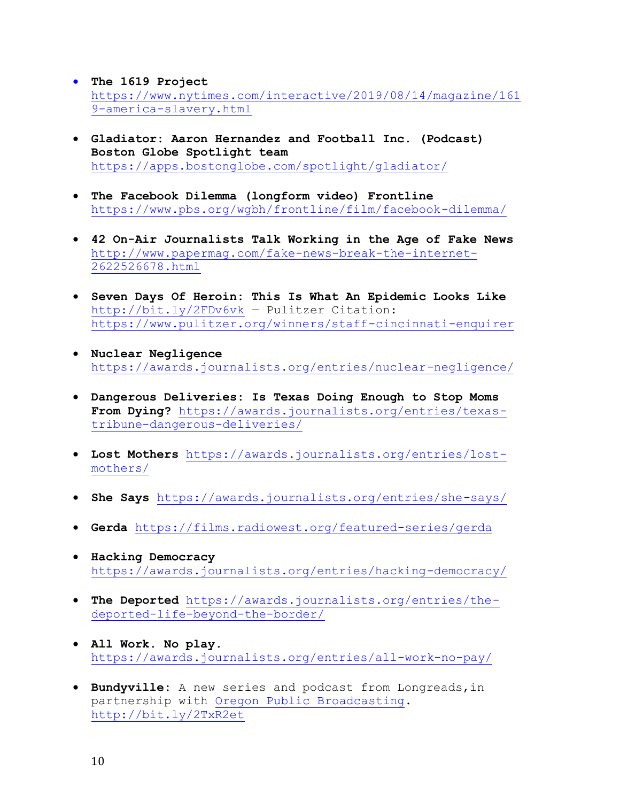- **The 1619 Project**  [https://www.nytimes.com/interactive/2019/08/14/magazine/161](https://www.nytimes.com/interactive/2019/08/14/magazine/1619-america-slavery.html) [9-america-slavery.html](https://www.nytimes.com/interactive/2019/08/14/magazine/1619-america-slavery.html)
- **Gladiator: Aaron Hernandez and Football Inc. (Podcast) Boston Globe Spotlight team** <https://apps.bostonglobe.com/spotlight/gladiator/>
- **The Facebook Dilemma (longform video) Frontline** <https://www.pbs.org/wgbh/frontline/film/facebook-dilemma/>
- **42 On-Air Journalists Talk Working in the Age of Fake News** [http://www.papermag.com/fake-news-break-the-internet-](http://www.papermag.com/fake-news-break-the-internet-2622526678.html)[2622526678.html](http://www.papermag.com/fake-news-break-the-internet-2622526678.html)
- **Seven Days Of Heroin: This Is What An Epidemic Looks Like** <http://bit.ly/2FDv6vk> — Pulitzer Citation: <https://www.pulitzer.org/winners/staff-cincinnati-enquirer>
- **Nuclear Negligence** <https://awards.journalists.org/entries/nuclear-negligence/>
- **Dangerous Deliveries: Is Texas Doing Enough to Stop Moms From Dying?** [https://awards.journalists.org/entries/texas](https://awards.journalists.org/entries/texas-tribune-dangerous-deliveries/)[tribune-dangerous-deliveries/](https://awards.journalists.org/entries/texas-tribune-dangerous-deliveries/)
- **Lost Mothers** [https://awards.journalists.org/entries/lost](https://awards.journalists.org/entries/lost-mothers/)[mothers/](https://awards.journalists.org/entries/lost-mothers/)
- **She Says** <https://awards.journalists.org/entries/she-says/>
- **Gerda** <https://films.radiowest.org/featured-series/gerda>
- **Hacking Democracy** <https://awards.journalists.org/entries/hacking-democracy/>
- **The Deported** [https://awards.journalists.org/entries/the](https://awards.journalists.org/entries/the-deported-life-beyond-the-border/)[deported-life-beyond-the-border/](https://awards.journalists.org/entries/the-deported-life-beyond-the-border/)
- **All Work. No play**. <https://awards.journalists.org/entries/all-work-no-pay/>
- **Bundyville:** A new series and podcast from Longreads,in partnership with [Oregon Public Broadcasting.](https://www.opb.org/bundyville/) <http://bit.ly/2TxR2et>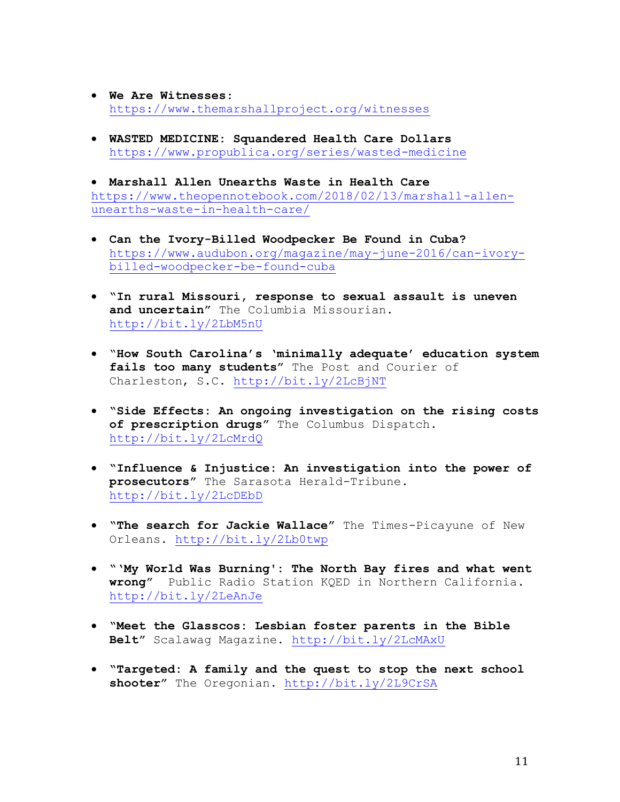- **We Are Witnesses**: <https://www.themarshallproject.org/witnesses>
- **WASTED MEDICINE: Squandered Health Care Dollars** <https://www.propublica.org/series/wasted-medicine>

• **Marshall Allen Unearths Waste in Health Care** [https://www.theopennotebook.com/2018/02/13/marshall-allen](https://www.theopennotebook.com/2018/02/13/marshall-allen-unearths-waste-in-health-care/)[unearths-waste-in-health-care/](https://www.theopennotebook.com/2018/02/13/marshall-allen-unearths-waste-in-health-care/)

- **Can the Ivory-Billed Woodpecker Be Found in Cuba?**  [https://www.audubon.org/magazine/may-june-2016/can-ivory](https://www.audubon.org/magazine/may-june-2016/can-ivory-billed-woodpecker-be-found-cuba)[billed-woodpecker-be-found-cuba](https://www.audubon.org/magazine/may-june-2016/can-ivory-billed-woodpecker-be-found-cuba)
- **"In rural Missouri, response to sexual assault is uneven and uncertain"** The Columbia Missourian. <http://bit.ly/2LbM5nU>
- "**How South Carolina's 'minimally adequate' education system fails too many students"** The Post and Courier of Charleston, S.C.<http://bit.ly/2LcBjNT>
- **"Side Effects: An ongoing investigation on the rising costs of prescription drugs"** The Columbus Dispatch. <http://bit.ly/2LcMrdQ>
- **"Influence & Injustice: An investigation into the power of prosecutors"** The Sarasota Herald-Tribune. <http://bit.ly/2LcDEbD>
- **"The search for Jackie Wallace"** The Times-Picayune of New Orleans.<http://bit.ly/2Lb0twp>
- **"'My World Was Burning': The North Bay fires and what went wrong"** Public Radio Station KQED in Northern California. <http://bit.ly/2LeAnJe>
- **"Meet the Glasscos: Lesbian foster parents in the Bible Belt"** Scalawag Magazine.<http://bit.ly/2LcMAxU>
- **"Targeted: A family and the quest to stop the next school shooter"** The Oregonian.<http://bit.ly/2L9CrSA>